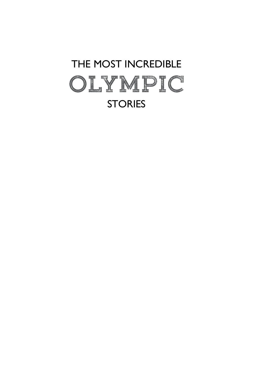# The Most Incredible OLYMPIC **STORIES**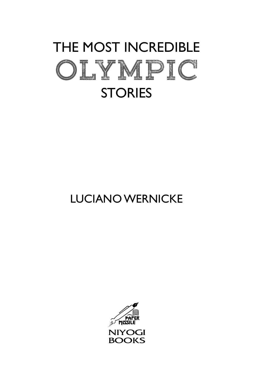

## Luciano Wernicke

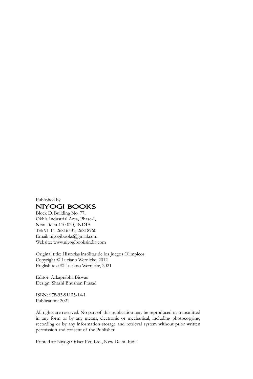#### Published by **NIYOGI BOOKS**

Block D, Building No. 77, Okhla Industrial Area, Phase-I, New Delhi-110 020, INDIA Tel: 91-11-26816301, 26818960 Email: niyogibooks@gmail.com Website: www.niyogibooksindia.com

Original title: Historias insólitas de los Juegos Olimpicos Copyright © Luciano Wernicke, 2012 English text © Luciano Wernicke, 2021

Editor: Arkaprabha Biswas Design: Shashi Bhushan Prasad

ISBN: 978-93-91125-14-1 Publication: 2021

All rights are reserved. No part of this publication may be reproduced or transmitted in any form or by any means, electronic or mechanical, including photocopying, recording or by any information storage and retrieval system without prior written permission and consent of the Publisher.

Printed at: Niyogi Offset Pvt. Ltd., New Delhi, India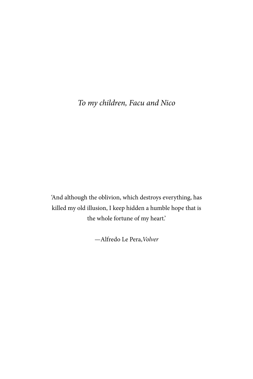#### *To my children, Facu and Nico*

'And although the oblivion, which destroys everything, has killed my old illusion, I keep hidden a humble hope that is the whole fortune of my heart.'

—Alfredo Le Pera,*Volver*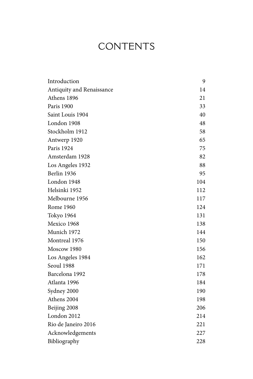## **CONTENTS**

| Introduction              | 9   |
|---------------------------|-----|
| Antiquity and Renaissance | 14  |
| Athens 1896               | 21  |
| Paris 1900                | 33  |
| Saint Louis 1904          | 40  |
| London 1908               | 48  |
| Stockholm 1912            | 58  |
| Antwerp 1920              | 65  |
| Paris 1924                | 75  |
| Amsterdam 1928            | 82  |
| Los Angeles 1932          | 88  |
| Berlin 1936               | 95  |
| London 1948               | 104 |
| Helsinki 1952             | 112 |
| Melbourne 1956            | 117 |
| <b>Rome 1960</b>          | 124 |
| Tokyo 1964                | 131 |
| Mexico 1968               | 138 |
| Munich 1972               | 144 |
| Montreal 1976             | 150 |
| Moscow 1980               | 156 |
| Los Angeles 1984          | 162 |
| Seoul 1988                | 171 |
| Barcelona 1992            | 178 |
| Atlanta 1996              | 184 |
| Sydney 2000               | 190 |
| Athens 2004               | 198 |
| Beijing 2008              | 206 |
| London 2012               | 214 |
| Rio de Janeiro 2016       | 221 |
| Acknowledgements          | 227 |
| Bibliography              | 228 |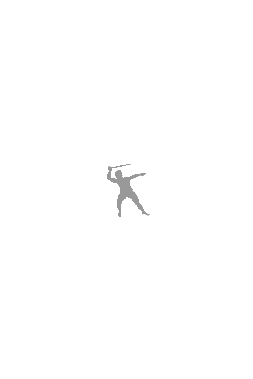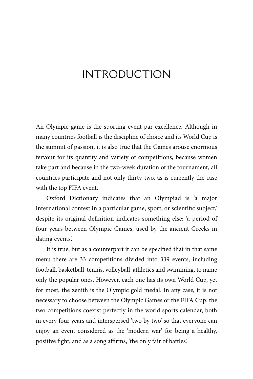## **INTRODUCTION**

An Olympic game is the sporting event par excellence. Although in many countries football is the discipline of choice and its World Cup is the summit of passion, it is also true that the Games arouse enormous fervour for its quantity and variety of competitions, because women take part and because in the two-week duration of the tournament, all countries participate and not only thirty-two, as is currently the case with the top FIFA event.

Oxford Dictionary indicates that an Olympiad is 'a major international contest in a particular game, sport, or scientific subject,' despite its original definition indicates something else: 'a period of four years between Olympic Games, used by the ancient Greeks in dating events'.

It is true, but as a counterpart it can be specified that in that same menu there are 33 competitions divided into 339 events, including football, basketball, tennis, volleyball, athletics and swimming, to name only the popular ones. However, each one has its own World Cup, yet for most, the zenith is the Olympic gold medal. In any case, it is not necessary to choose between the Olympic Games or the FIFA Cup: the two competitions coexist perfectly in the world sports calendar, both in every four years and interspersed 'two by two' so that everyone can enjoy an event considered as the 'modern war' for being a healthy, positive fight, and as a song affirms, 'the only fair of battles'.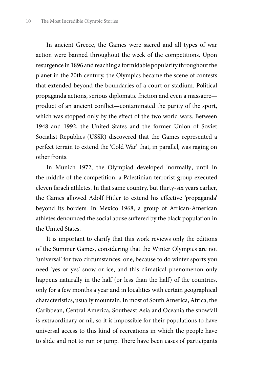In ancient Greece, the Games were sacred and all types of war action were banned throughout the week of the competitions. Upon resurgence in 1896 and reaching a formidable popularity throughout the planet in the 20th century, the Olympics became the scene of contests that extended beyond the boundaries of a court or stadium. Political propaganda actions, serious diplomatic friction and even a massacre product of an ancient conflict—contaminated the purity of the sport, which was stopped only by the effect of the two world wars. Between 1948 and 1992, the United States and the former Union of Soviet Socialist Republics (USSR) discovered that the Games represented a perfect terrain to extend the 'Cold War' that, in parallel, was raging on other fronts.

In Munich 1972, the Olympiad developed 'normally', until in the middle of the competition, a Palestinian terrorist group executed eleven Israeli athletes. In that same country, but thirty-six years earlier, the Games allowed Adolf Hitler to extend his effective 'propaganda' beyond its borders. In Mexico 1968, a group of African-American athletes denounced the social abuse suffered by the black population in the United States.

It is important to clarify that this work reviews only the editions of the Summer Games, considering that the Winter Olympics are not 'universal' for two circumstances: one, because to do winter sports you need 'yes or yes' snow or ice, and this climatical phenomenon only happens naturally in the half (or less than the half) of the countries, only for a few months a year and in localities with certain geographical characteristics, usually mountain. In most of South America, Africa, the Caribbean, Central America, Southeast Asia and Oceania the snowfall is extraordinary or nil, so it is impossible for their populations to have universal access to this kind of recreations in which the people have to slide and not to run or jump. There have been cases of participants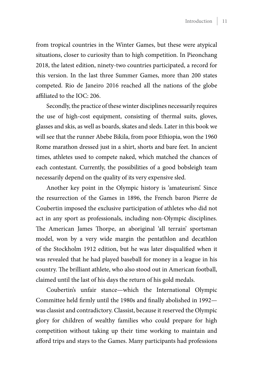from tropical countries in the Winter Games, but these were atypical situations, closer to curiosity than to high competition. In Pieonchang 2018, the latest edition, ninety-two countries participated, a record for this version. In the last three Summer Games, more than 200 states competed. Rio de Janeiro 2016 reached all the nations of the globe affiliated to the IOC: 206.

Secondly, the practice of these winter disciplines necessarily requires the use of high-cost equipment, consisting of thermal suits, gloves, glasses and skis, as well as boards, skates and sleds. Later in this book we will see that the runner Abebe Bikila, from poor Ethiopia, won the 1960 Rome marathon dressed just in a shirt, shorts and bare feet. In ancient times, athletes used to compete naked, which matched the chances of each contestant. Currently, the possibilities of a good bobsleigh team necessarily depend on the quality of its very expensive sled.

Another key point in the Olympic history is 'amateurism'. Since the resurrection of the Games in 1896, the French baron Pierre de Coubertin imposed the exclusive participation of athletes who did not act in any sport as professionals, including non-Olympic disciplines. The American James Thorpe, an aboriginal 'all terrain' sportsman model, won by a very wide margin the pentathlon and decathlon of the Stockholm 1912 edition, but he was later disqualified when it was revealed that he had played baseball for money in a league in his country. The brilliant athlete, who also stood out in American football, claimed until the last of his days the return of his gold medals.

Coubertin's unfair stance—which the International Olympic Committee held firmly until the 1980s and finally abolished in 1992 was classist and contradictory. Classist, because it reserved the Olympic glory for children of wealthy families who could prepare for high competition without taking up their time working to maintain and afford trips and stays to the Games. Many participants had professions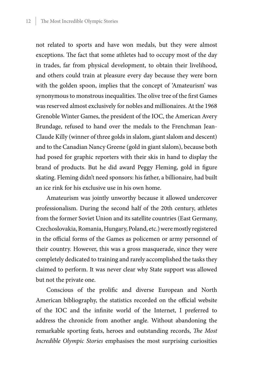not related to sports and have won medals, but they were almost exceptions. The fact that some athletes had to occupy most of the day in trades, far from physical development, to obtain their livelihood, and others could train at pleasure every day because they were born with the golden spoon, implies that the concept of 'Amateurism' was synonymous to monstrous inequalities. The olive tree of the first Games was reserved almost exclusively for nobles and millionaires. At the 1968 Grenoble Winter Games, the president of the IOC, the American Avery Brundage, refused to hand over the medals to the Frenchman Jean-Claude Killy (winner of three golds in slalom, giant slalom and descent) and to the Canadian Nancy Greene (gold in giant slalom), because both had posed for graphic reporters with their skis in hand to display the brand of products. But he did award Peggy Fleming, gold in figure skating. Fleming didn't need sponsors: his father, a billionaire, had built an ice rink for his exclusive use in his own home.

Amateurism was jointly unworthy because it allowed undercover professionalism. During the second half of the 20th century, athletes from the former Soviet Union and its satellite countries (East Germany, Czechoslovakia, Romania, Hungary, Poland, etc.) were mostly registered in the official forms of the Games as policemen or army personnel of their country. However, this was a gross masquerade, since they were completely dedicated to training and rarely accomplished the tasks they claimed to perform. It was never clear why State support was allowed but not the private one.

Conscious of the prolific and diverse European and North American bibliography, the statistics recorded on the official website of the IOC and the infinite world of the Internet, I preferred to address the chronicle from another angle. Without abandoning the remarkable sporting feats, heroes and outstanding records, *The Most Incredible Olympic Stories* emphasises the most surprising curiosities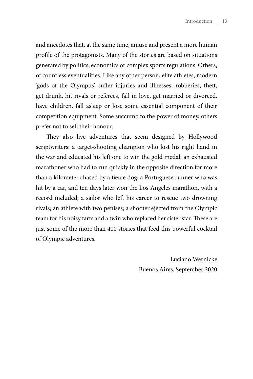and anecdotes that, at the same time, amuse and present a more human profile of the protagonists. Many of the stories are based on situations generated by politics, economics or complex sports regulations. Others, of countless eventualities. Like any other person, elite athletes, modern 'gods of the Olympus', suffer injuries and illnesses, robberies, theft, get drunk, hit rivals or referees, fall in love, get married or divorced, have children, fall asleep or lose some essential component of their competition equipment. Some succumb to the power of money, others prefer not to sell their honour.

They also live adventures that seem designed by Hollywood scriptwriters: a target-shooting champion who lost his right hand in the war and educated his left one to win the gold medal; an exhausted marathoner who had to run quickly in the opposite direction for more than a kilometer chased by a fierce dog; a Portuguese runner who was hit by a car, and ten days later won the Los Angeles marathon, with a record included; a sailor who left his career to rescue two drowning rivals; an athlete with two penises; a shooter ejected from the Olympic team for his noisy farts and a twin who replaced her sister star. These are just some of the more than 400 stories that feed this powerful cocktail of Olympic adventures.

> Luciano Wernicke Buenos Aires, September 2020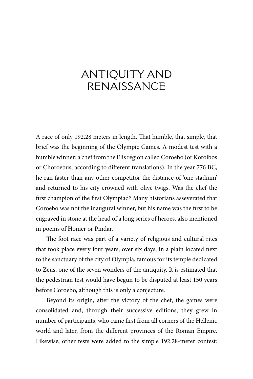### Antiquity and Renaissance

A race of only 192.28 meters in length. That humble, that simple, that brief was the beginning of the Olympic Games. A modest test with a humble winner: a chef from the Elis region called Coroebo (or Koroibos or Choroebus, according to different translations). In the year 776 BC, he ran faster than any other competitor the distance of 'one stadium' and returned to his city crowned with olive twigs. Was the chef the first champion of the first Olympiad? Many historians asseverated that Coroebo was not the inaugural winner, but his name was the first to be engraved in stone at the head of a long series of heroes, also mentioned in poems of Homer or Pindar.

The foot race was part of a variety of religious and cultural rites that took place every four years, over six days, in a plain located next to the sanctuary of the city of Olympia, famous for its temple dedicated to Zeus, one of the seven wonders of the antiquity. It is estimated that the pedestrian test would have begun to be disputed at least 150 years before Coroebo, although this is only a conjecture.

Beyond its origin, after the victory of the chef, the games were consolidated and, through their successive editions, they grew in number of participants, who came first from all corners of the Hellenic world and later, from the different provinces of the Roman Empire. Likewise, other tests were added to the simple 192.28-meter contest: